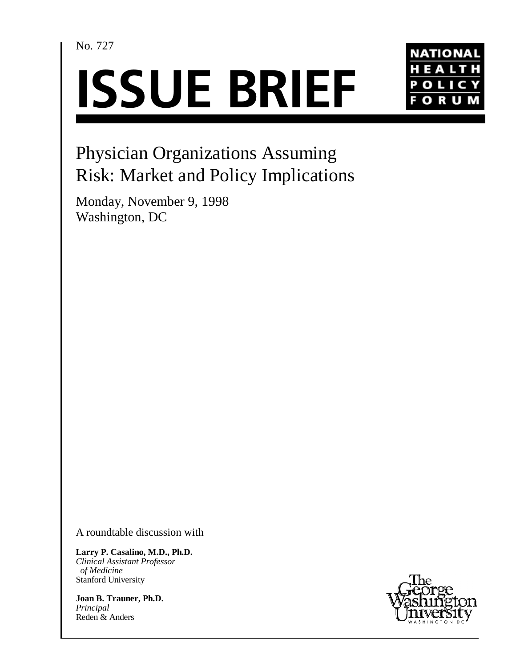No. 727

# **ISSUE BRIEF**



## Physician Organizations Assuming Risk: Market and Policy Implications

Monday, November 9, 1998 Washington, DC

A roundtable discussion with

**Larry P. Casalino, M.D., Ph.D.** *Clinical Assistant Professor of Medicine* Stanford University

**Joan B. Trauner, Ph.D.** *Principal* Reden & Anders

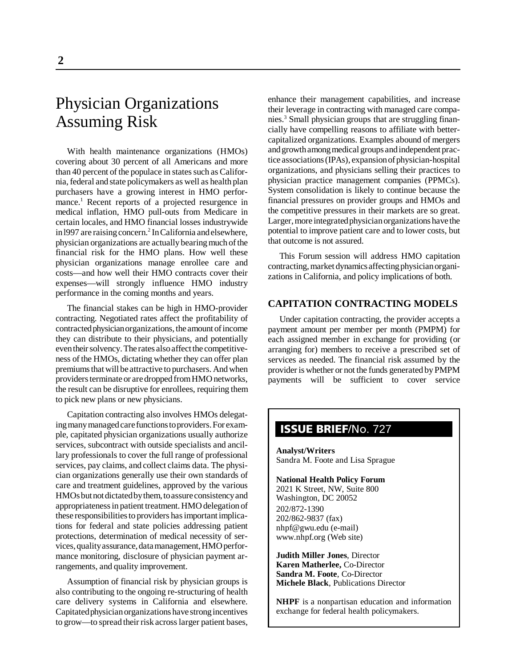### Physician Organizations Assuming Risk

With health maintenance organizations (HMOs) covering about 30 percent of all Americans and more than 40 percent of the populace in states such as California, federal and state policymakers as well as health plan purchasers have a growing interest in HMO performance.<sup>1</sup> Recent reports of a projected resurgence in medical inflation, HMO pull-outs from Medicare in certain locales, and HMO financial losses industrywide in 1997 are raising concern.<sup>2</sup> In California and elsewhere, physician organizations are actually bearing much of the financial risk for the HMO plans. How well these physician organizations manage enrollee care and costs—and how well their HMO contracts cover their expenses—will strongly influence HMO industry performance in the coming months and years.

The financial stakes can be high in HMO-provider contracting. Negotiated rates affect the profitability of contracted physician organizations, the amount of income they can distribute to their physicians, and potentially even their solvency. The rates also affect the competitiveness of the HMOs, dictating whether they can offer plan premiums that will be attractive to purchasers. And when providers terminate or are dropped from HMO networks, the result can be disruptive for enrollees, requiring them to pick new plans or new physicians.

Capitation contracting also involves HMOs delegating many managed care functions to providers. For example, capitated physician organizations usually authorize services, subcontract with outside specialists and ancillary professionals to cover the full range of professional services, pay claims, and collect claims data. The physician organizations generally use their own standards of care and treatment guidelines, approved by the various HMOs but not dictated by them, to assure consistency and appropriateness in patient treatment. HMO delegation of these responsibilities to providers has important implications for federal and state policies addressing patient protections, determination of medical necessity of services, quality assurance, data management, HMO performance monitoring, disclosure of physician payment arrangements, and quality improvement.

Assumption of financial risk by physician groups is also contributing to the ongoing re-structuring of health care delivery systems in California and elsewhere. Capitated physician organizations have strong incentives to grow—to spread their risk across larger patient bases,

enhance their management capabilities, and increase their leverage in contracting with managed care companies.<sup>3</sup> Small physician groups that are struggling financially have compelling reasons to affiliate with bettercapitalized organizations. Examples abound of mergers and growth among medical groups and independent practice associations (IPAs), expansion of physician-hospital organizations, and physicians selling their practices to physician practice management companies (PPMCs). System consolidation is likely to continue because the financial pressures on provider groups and HMOs and the competitive pressures in their markets are so great. Larger, more integrated physician organizations have the potential to improve patient care and to lower costs, but that outcome is not assured.

This Forum session will address HMO capitation contracting, market dynamics affecting physician organizations in California, and policy implications of both.

#### **CAPITATION CONTRACTING MODELS**

Under capitation contracting, the provider accepts a payment amount per member per month (PMPM) for each assigned member in exchange for providing (or arranging for) members to receive a prescribed set of services as needed. The financial risk assumed by the provider is whether or not the funds generated by PMPM payments will be sufficient to cover service

#### **ISSUE BRIEF**/No. 727

**Analyst/Writers** Sandra M. Foote and Lisa Sprague

#### **National Health Policy Forum**

2021 K Street, NW, Suite 800 Washington, DC 20052 202/872-1390 202/862-9837 (fax) nhpf@gwu.edu (e-mail) www.nhpf.org (Web site)

**Judith Miller Jones**, Director **Karen Matherlee,** Co-Director **Sandra M. Foote**, Co-Director **Michele Black**, Publications Director

**NHPF** is a nonpartisan education and information exchange for federal health policymakers.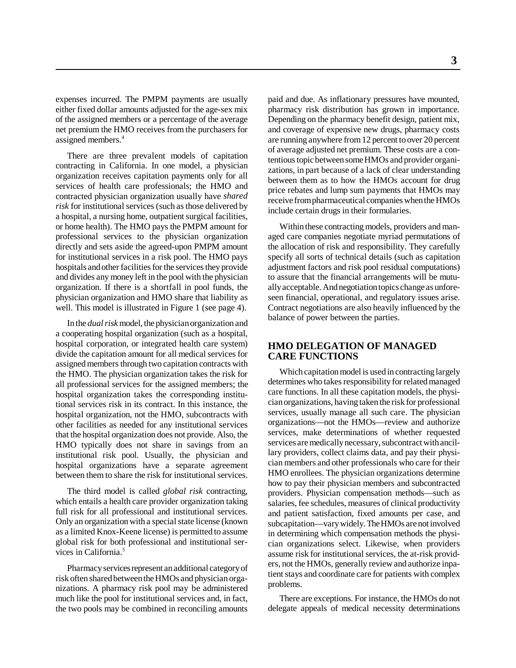expenses incurred. The PMPM payments are usually either fixed dollar amounts adjusted for the age-sex mix of the assigned members or a percentage of the average net premium the HMO receives from the purchasers for assigned members.4

There are three prevalent models of capitation contracting in California. In one model, a physician organization receives capitation payments only for all services of health care professionals; the HMO and contracted physician organization usually have *shared risk* for institutional services (such as those delivered by a hospital, a nursing home, outpatient surgical facilities, or home health). The HMO pays the PMPM amount for professional services to the physician organization directly and sets aside the agreed-upon PMPM amount for institutional services in a risk pool. The HMO pays hospitals and other facilities for the services they provide and divides any money left in the pool with the physician organization. If there is a shortfall in pool funds, the physician organization and HMO share that liability as well. This model is illustrated in Figure 1 (see page 4).

In the *dual risk* model, the physician organization and a cooperating hospital organization (such as a hospital, hospital corporation, or integrated health care system) divide the capitation amount for all medical services for assigned members through two capitation contracts with the HMO. The physician organization takes the risk for all professional services for the assigned members; the hospital organization takes the corresponding institutional services risk in its contract. In this instance, the hospital organization, not the HMO, subcontracts with other facilities as needed for any institutional services that the hospital organization does not provide. Also, the HMO typically does not share in savings from an institutional risk pool. Usually, the physician and hospital organizations have a separate agreement between them to share the risk for institutional services.

The third model is called *global risk* contracting, which entails a health care provider organization taking full risk for all professional and institutional services. Only an organization with a special state license (known as a limited Knox-Keene license) is permitted to assume global risk for both professional and institutional services in California.<sup>5</sup>

Pharmacy services represent an additional category of risk often shared between the HMOs and physician organizations. A pharmacy risk pool may be administered much like the pool for institutional services and, in fact, the two pools may be combined in reconciling amounts

paid and due. As inflationary pressures have mounted, pharmacy risk distribution has grown in importance. Depending on the pharmacy benefit design, patient mix, and coverage of expensive new drugs, pharmacy costs are running anywhere from 12 percent to over 20 percent of average adjusted net premium. These costs are a contentious topic between some HMOs and provider organizations, in part because of a lack of clear understanding between them as to how the HMOs account for drug price rebates and lump sum payments that HMOs may receive from pharmaceutical companies when the HMOs include certain drugs in their formularies.

Within these contracting models, providers and managed care companies negotiate myriad permutations of the allocation of risk and responsibility. They carefully specify all sorts of technical details (such as capitation adjustment factors and risk pool residual computations) to assure that the financial arrangements will be mutually acceptable. And negotiation topics change as unforeseen financial, operational, and regulatory issues arise. Contract negotiations are also heavily influenced by the balance of power between the parties.

#### **HMO DELEGATION OF MANAGED CARE FUNCTIONS**

Which capitation model is used in contracting largely determines who takes responsibility for related managed care functions. In all these capitation models, the physician organizations, having taken the risk for professional services, usually manage all such care. The physician organizations—not the HMOs—review and authorize services, make determinations of whether requested services are medically necessary, subcontract with ancillary providers, collect claims data, and pay their physician members and other professionals who care for their HMO enrollees. The physician organizations determine how to pay their physician members and subcontracted providers. Physician compensation methods—such as salaries, fee schedules, measures of clinical productivity and patient satisfaction, fixed amounts per case, and subcapitation—vary widely. The HMOs are not involved in determining which compensation methods the physician organizations select. Likewise, when providers assume risk for institutional services, the at-risk providers, not the HMOs, generally review and authorize inpatient stays and coordinate care for patients with complex problems.

There are exceptions. For instance, the HMOs do not delegate appeals of medical necessity determinations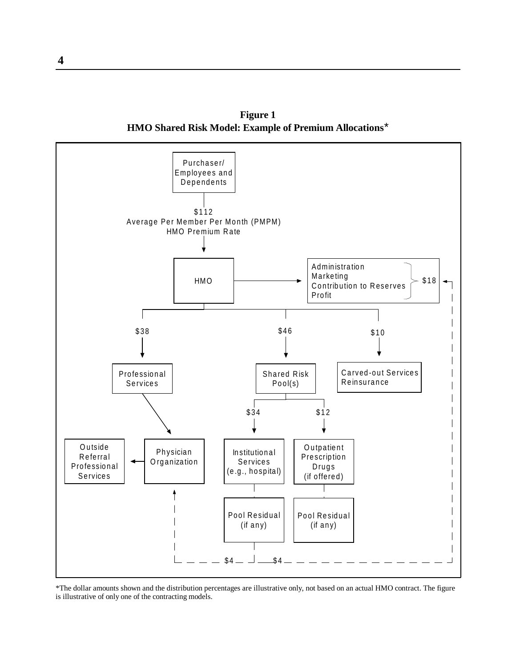**Figure 1 HMO Shared Risk Model: Example of Premium Allocations**\*



\*The dollar amounts shown and the distribution percentages are illustrative only, not based on an actual HMO contract. The figure is illustrative of only one of the contracting models.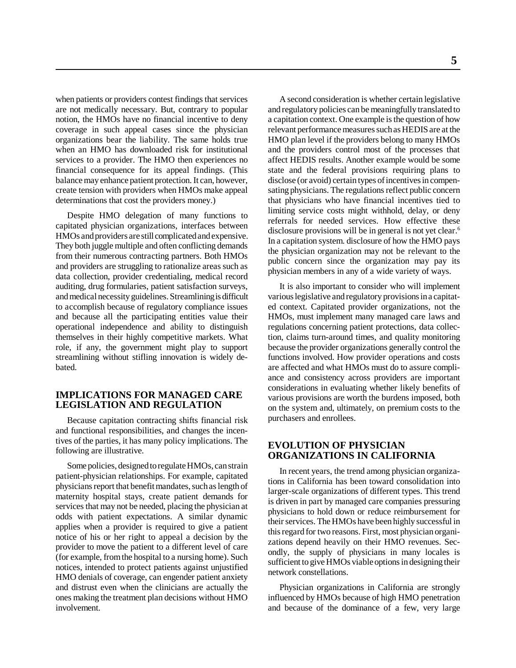when patients or providers contest findings that services are not medically necessary. But, contrary to popular notion, the HMOs have no financial incentive to deny coverage in such appeal cases since the physician organizations bear the liability. The same holds true when an HMO has downloaded risk for institutional services to a provider. The HMO then experiences no financial consequence for its appeal findings. (This balance may enhance patient protection. It can, however, create tension with providers when HMOs make appeal determinations that cost the providers money.)

Despite HMO delegation of many functions to capitated physician organizations, interfaces between HMOs and providers are still complicated and expensive. They both juggle multiple and often conflicting demands from their numerous contracting partners. Both HMOs and providers are struggling to rationalize areas such as data collection, provider credentialing, medical record auditing, drug formularies, patient satisfaction surveys, and medical necessity guidelines. Streamlining is difficult to accomplish because of regulatory compliance issues and because all the participating entities value their operational independence and ability to distinguish themselves in their highly competitive markets. What role, if any, the government might play to support streamlining without stifling innovation is widely debated.

#### **IMPLICATIONS FOR MANAGED CARE LEGISLATION AND REGULATION**

Because capitation contracting shifts financial risk and functional responsibilities, and changes the incentives of the parties, it has many policy implications. The following are illustrative.

Some policies, designed to regulate HMOs, can strain patient-physician relationships. For example, capitated physicians report that benefit mandates, such as length of maternity hospital stays, create patient demands for services that may not be needed, placing the physician at odds with patient expectations. A similar dynamic applies when a provider is required to give a patient notice of his or her right to appeal a decision by the provider to move the patient to a different level of care (for example, from the hospital to a nursing home). Such notices, intended to protect patients against unjustified HMO denials of coverage, can engender patient anxiety and distrust even when the clinicians are actually the ones making the treatment plan decisions without HMO involvement.

A second consideration is whether certain legislative and regulatory policies can be meaningfully translated to a capitation context. One example is the question of how relevant performance measures such as HEDIS are at the HMO plan level if the providers belong to many HMOs and the providers control most of the processes that affect HEDIS results. Another example would be some state and the federal provisions requiring plans to disclose (or avoid) certain types of incentives in compensating physicians. The regulations reflect public concern that physicians who have financial incentives tied to limiting service costs might withhold, delay, or deny referrals for needed services. How effective these disclosure provisions will be in general is not yet clear.<sup>6</sup> In a capitation system. disclosure of how the HMO pays the physician organization may not be relevant to the public concern since the organization may pay its physician members in any of a wide variety of ways.

It is also important to consider who will implement various legislative and regulatory provisions in a capitated context. Capitated provider organizations, not the HMOs, must implement many managed care laws and regulations concerning patient protections, data collection, claims turn-around times, and quality monitoring because the provider organizations generally control the functions involved. How provider operations and costs are affected and what HMOs must do to assure compliance and consistency across providers are important considerations in evaluating whether likely benefits of various provisions are worth the burdens imposed, both on the system and, ultimately, on premium costs to the purchasers and enrollees.

#### **EVOLUTION OF PHYSICIAN ORGANIZATIONS IN CALIFORNIA**

In recent years, the trend among physician organizations in California has been toward consolidation into larger-scale organizations of different types. This trend is driven in part by managed care companies pressuring physicians to hold down or reduce reimbursement for their services. The HMOs have been highly successful in this regard for two reasons. First, most physician organizations depend heavily on their HMO revenues. Secondly, the supply of physicians in many locales is sufficient to give HMOs viable options in designing their network constellations.

Physician organizations in California are strongly influenced by HMOs because of high HMO penetration and because of the dominance of a few, very large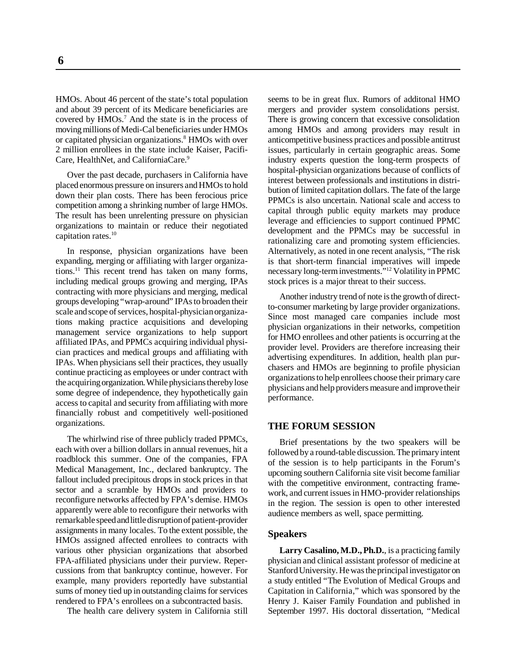HMOs. About 46 percent of the state's total population and about 39 percent of its Medicare beneficiaries are covered by HMOs.<sup>7</sup> And the state is in the process of moving millions of Medi-Cal beneficiaries under HMOs or capitated physician organizations.<sup>8</sup> HMOs with over 2 million enrollees in the state include Kaiser, Pacifi-Care, HealthNet, and CaliforniaCare.<sup>9</sup>

Over the past decade, purchasers in California have placed enormous pressure on insurers and HMOs to hold down their plan costs. There has been ferocious price competition among a shrinking number of large HMOs. The result has been unrelenting pressure on physician organizations to maintain or reduce their negotiated capitation rates.<sup>10</sup>

In response, physician organizations have been expanding, merging or affiliating with larger organizations.<sup>11</sup> This recent trend has taken on many forms, including medical groups growing and merging, IPAs contracting with more physicians and merging, medical groups developing "wrap-around" IPAs to broaden their scale and scope of services, hospital-physician organizations making practice acquisitions and developing management service organizations to help support affiliated IPAs, and PPMCs acquiring individual physician practices and medical groups and affiliating with IPAs. When physicians sell their practices, they usually continue practicing as employees or under contract with the acquiring organization. While physicians thereby lose some degree of independence, they hypothetically gain access to capital and security from affiliating with more financially robust and competitively well-positioned organizations.

The whirlwind rise of three publicly traded PPMCs, each with over a billion dollars in annual revenues, hit a roadblock this summer. One of the companies, FPA Medical Management, Inc., declared bankruptcy. The fallout included precipitous drops in stock prices in that sector and a scramble by HMOs and providers to reconfigure networks affected by FPA's demise. HMOs apparently were able to reconfigure their networks with remarkable speed and little disruption of patient-provider assignments in many locales. To the extent possible, the HMOs assigned affected enrollees to contracts with various other physician organizations that absorbed FPA-affiliated physicians under their purview. Repercussions from that bankruptcy continue, however. For example, many providers reportedly have substantial sums of money tied up in outstanding claims for services rendered to FPA's enrollees on a subcontracted basis.

The health care delivery system in California still

seems to be in great flux. Rumors of additonal HMO mergers and provider system consolidations persist. There is growing concern that excessive consolidation among HMOs and among providers may result in anticompetitive business practices and possible antitrust issues, particularly in certain geographic areas. Some industry experts question the long-term prospects of hospital-physician organizations because of conflicts of interest between professionals and institutions in distribution of limited capitation dollars. The fate of the large PPMCs is also uncertain. National scale and access to capital through public equity markets may produce leverage and efficiencies to support continued PPMC development and the PPMCs may be successful in rationalizing care and promoting system efficiencies. Alternatively, as noted in one recent analysis, "The risk is that short-term financial imperatives will impede necessary long-term investments."12 Volatility in PPMC stock prices is a major threat to their success.

Another industry trend of note is the growth of directto-consumer marketing by large provider organizations. Since most managed care companies include most physician organizations in their networks, competition for HMO enrollees and other patients is occurring at the provider level. Providers are therefore increasing their advertising expenditures. In addition, health plan purchasers and HMOs are beginning to profile physician organizations to help enrollees choose their primary care physicians and help providers measure and improve their performance.

#### **THE FORUM SESSION**

Brief presentations by the two speakers will be followed by a round-table discussion. The primary intent of the session is to help participants in the Forum's upcoming southern California site visit become familiar with the competitive environment, contracting framework, and current issues in HMO-provider relationships in the region. The session is open to other interested audience members as well, space permitting.

#### **Speakers**

**Larry Casalino, M.D., Ph.D.**, is a practicing family physician and clinical assistant professor of medicine at Stanford University. He was the principal investigator on a study entitled "The Evolution of Medical Groups and Capitation in California," which was sponsored by the Henry J. Kaiser Family Foundation and published in September 1997. His doctoral dissertation, "Medical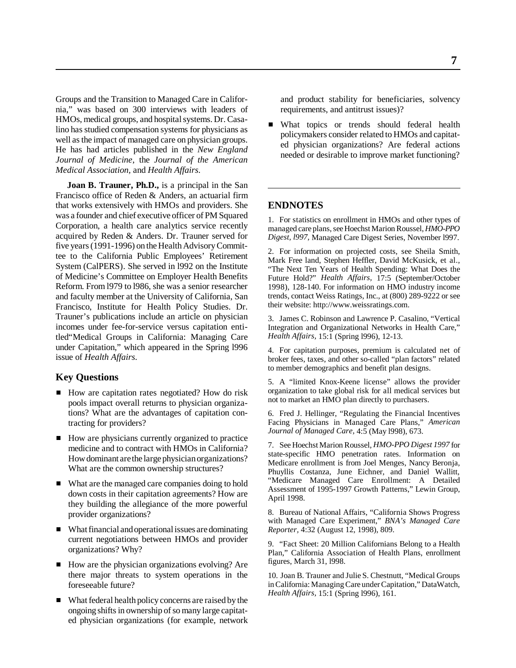Groups and the Transition to Managed Care in California," was based on 300 interviews with leaders of HMOs, medical groups, and hospital systems. Dr. Casalino has studied compensation systems for physicians as well as the impact of managed care on physician groups. He has had articles published in the *New England Journal of Medicine*, the *Journal of the American Medical Association,* and *Health Affairs*.

**Joan B. Trauner, Ph.D.,** is a principal in the San Francisco office of Reden & Anders, an actuarial firm that works extensively with HMOs and providers. She was a founder and chief executive officer of PM Squared Corporation, a health care analytics service recently acquired by Reden & Anders. Dr. Trauner served for five years (1991-1996) on the Health Advisory Committee to the California Public Employees' Retirement System (CalPERS). She served in l992 on the Institute of Medicine's Committee on Employer Health Benefits Reform. From l979 to l986, she was a senior researcher and faculty member at the University of California, San Francisco, Institute for Health Policy Studies. Dr. Trauner's publications include an article on physician incomes under fee-for-service versus capitation entitled"Medical Groups in California: Managing Care under Capitation," which appeared in the Spring l996 issue of *Health Affairs*.

#### **Key Questions**

- How are capitation rates negotiated? How do risk pools impact overall returns to physician organizations? What are the advantages of capitation contracting for providers?
- How are physicians currently organized to practice medicine and to contract with HMOs in California? How dominant are the large physician organizations? What are the common ownership structures?
- What are the managed care companies doing to hold down costs in their capitation agreements? How are they building the allegiance of the more powerful provider organizations?
- What financial and operational issues are dominating current negotiations between HMOs and provider organizations? Why?
- How are the physician organizations evolving? Are there major threats to system operations in the foreseeable future?
- What federal health policy concerns are raised by the ongoing shifts in ownership of so many large capitated physician organizations (for example, network

and product stability for beneficiaries, solvency requirements, and antitrust issues)?

What topics or trends should federal health policymakers consider related to HMOs and capitated physician organizations? Are federal actions needed or desirable to improve market functioning?

#### **ENDNOTES**

1. For statistics on enrollment in HMOs and other types of managed care plans, see Hoechst Marion Roussel, *HMO-PPO Digest, l997,* Managed Care Digest Series, November l997.

2. For information on projected costs, see Sheila Smith, Mark Free land, Stephen Heffler, David McKusick, et al., "The Next Ten Years of Health Spending: What Does the Future Hold?" *Health Affairs,* 17:5 (September/October 1998), 128-140. For information on HMO industry income trends, contact Weiss Ratings, Inc., at (800) 289-9222 or see their website: http://www.weissratings.com.

3. James C. Robinson and Lawrence P. Casalino, "Vertical Integration and Organizational Networks in Health Care," *Health Affairs,* 15:1 (Spring l996), 12-13.

4. For capitation purposes, premium is calculated net of broker fees, taxes, and other so-called "plan factors" related to member demographics and benefit plan designs.

5. A "limited Knox-Keene license" allows the provider organization to take global risk for all medical services but not to market an HMO plan directly to purchasers.

6. Fred J. Hellinger, "Regulating the Financial Incentives Facing Physicians in Managed Care Plans," *American Journal of Managed Care,* 4:5 (May l998), 673.

7. See Hoechst Marion Roussel, *HMO-PPO Digest 1997* for state-specific HMO penetration rates. Information on Medicare enrollment is from Joel Menges, Nancy Beronja, Phuyllis Costanza, June Eichner, and Daniel Wallitt, "Medicare Managed Care Enrollment: A Detailed Assessment of 1995-1997 Growth Patterns," Lewin Group, April 1998.

8. Bureau of National Affairs, "California Shows Progress with Managed Care Experiment," *BNA's Managed Care Reporter,* 4:32 (August 12, 1998), 809.

9. "Fact Sheet: 20 Million Californians Belong to a Health Plan," California Association of Health Plans, enrollment figures, March 31, l998.

10. Joan B. Trauner and Julie S. Chestnutt, "Medical Groups in California: Managing Care under Capitation," DataWatch, *Health Affairs,* 15:1 (Spring l996), 161.